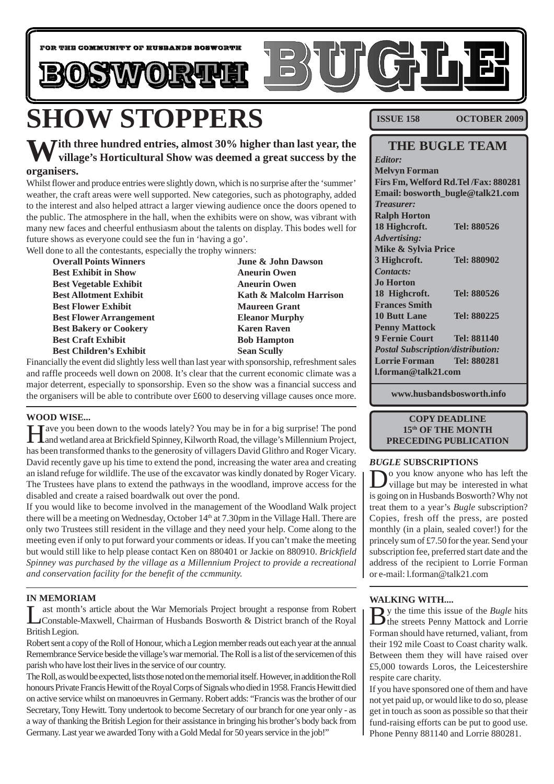

# **SHOW STOPPERS**

### **With three hundred entries, almost 30% higher than last year, the village's Horticultural Show was deemed a great success by the organisers.**

Whilst flower and produce entries were slightly down, which is no surprise after the 'summer' weather, the craft areas were well supported. New categories, such as photography, added to the interest and also helped attract a larger viewing audience once the doors opened to the public. The atmosphere in the hall, when the exhibits were on show, was vibrant with many new faces and cheerful enthusiasm about the talents on display. This bodes well for future shows as everyone could see the fun in 'having a go'.

Well done to all the contestants, especially the trophy winners:

| <b>Overall Points Winners</b>  |
|--------------------------------|
| <b>Best Exhibit in Show</b>    |
| <b>Best Vegetable Exhibit</b>  |
| <b>Best Allotment Exhibit</b>  |
| <b>Best Flower Exhibit</b>     |
| <b>Best Flower Arrangement</b> |
| <b>Best Bakery or Cookery</b>  |
| <b>Best Craft Exhibit</b>      |
| <b>Best Children's Exhibit</b> |
|                                |

**June & John Dawson Aneurin Owen Aneurin Owen Kath & Malcolm Harrison Maureen Grant Eleanor Murphy Karen Raven Bob Hampton Sean Scully** 

Financially the event did slightly less well than last year with sponsorship, refreshment sales and raffle proceeds well down on 2008. It's clear that the current economic climate was a major deterrent, especially to sponsorship. Even so the show was a financial success and the organisers will be able to contribute over £600 to deserving village causes once more.

#### **WOOD WISE...**

Have you been down to the woods lately? You may be in for a big surprise! The pond and wetland area at Brickfield Spinney, Kilworth Road, the village's Millennium Project, has been transformed thanks to the generosity of villagers David Glithro and Roger Vicary. David recently gave up his time to extend the pond, increasing the water area and creating an island refuge for wildlife. The use of the excavator was kindly donated by Roger Vicary. The Trustees have plans to extend the pathways in the woodland, improve access for the disabled and create a raised boardwalk out over the pond.

If you would like to become involved in the management of the Woodland Walk project there will be a meeting on Wednesday, October 14<sup>th</sup> at 7.30pm in the Village Hall. There are only two Trustees still resident in the village and they need your help. Come along to the meeting even if only to put forward your comments or ideas. If you can't make the meeting but would still like to help please contact Ken on 880401 or Jackie on 880910. *Brickfield Spinney was purchased by the village as a Millennium Project to provide a recreational and conservation facility for the benefit of the ccmmunity.*

#### **IN MEMORIAM**

ast month's article about the War Memorials Project brought a response from Robert Constable-Maxwell, Chairman of Husbands Bosworth & District branch of the Royal British Legion.

Robert sent a copy of the Roll of Honour, which a Legion member reads out each year at the annual Remembrance Service beside the village's war memorial. The Roll is a list of the servicemen of this parish who have lost their lives in the service of our country.

The Roll, as would be expected, lists those noted on the memorial itself. However, in addition the Roll honours Private Francis Hewitt of the Royal Corps of Signals who died in 1958. Francis Hewitt died on active service whilst on manoeuvres in Germany. Robert adds: "Francis was the brother of our Secretary, Tony Hewitt. Tony undertook to become Secretary of our branch for one year only - as a way of thanking the British Legion for their assistance in bringing his brother's body back from Germany. Last year we awarded Tony with a Gold Medal for 50 years service in the job!"

**ISSUE 158 OCTOBER 2009**

#### **THE BUGLE TEAM** *Editor:* **Melvyn Forman Firs Fm, Welford Rd.Tel /Fax: 880281 Email: bosworth\_bugle@talk21.com** *Treasurer:* **Ralph Horton 18 Highcroft. Tel: 880526** *Advertising:* **Mike & Sylvia Price 3 Highcroft. Tel: 880902**

*Contacts:* **Jo Horton 18 Highcroft. Tel: 880526 Frances Smith 10 Butt Lane Tel: 880225 Penny Mattock 9 Fernie Court Tel: 881140** *Postal Subscription/distribution:* **Lorrie Forman Tel: 880281 l.forman@talk21.com**

**www.husbandsbosworth.info**

#### **COPY DEADLINE 15th OF THE MONTH PRECEDING PUBLICATION**

#### *BUGLE* **SUBSCRIPTIONS**

Do you know anyone who has left the village but may be interested in what is going on in Husbands Bosworth? Why not treat them to a year's *Bugle* subscription? Copies, fresh off the press, are posted monthly (in a plain, sealed cover!) for the princely sum of £7.50 for the year. Send your subscription fee, preferred start date and the address of the recipient to Lorrie Forman or e-mail: l.forman@talk21.com

#### **WALKING WITH....**

By the time this issue of the *Bugle* hits<br>the streets Penny Mattock and Lorrie Forman should have returned, valiant, from their 192 mile Coast to Coast charity walk. Between them they will have raised over £5,000 towards Loros, the Leicestershire respite care charity.

If you have sponsored one of them and have not yet paid up, or would like to do so, please get in touch as soon as possible so that their fund-raising efforts can be put to good use. Phone Penny 881140 and Lorrie 880281.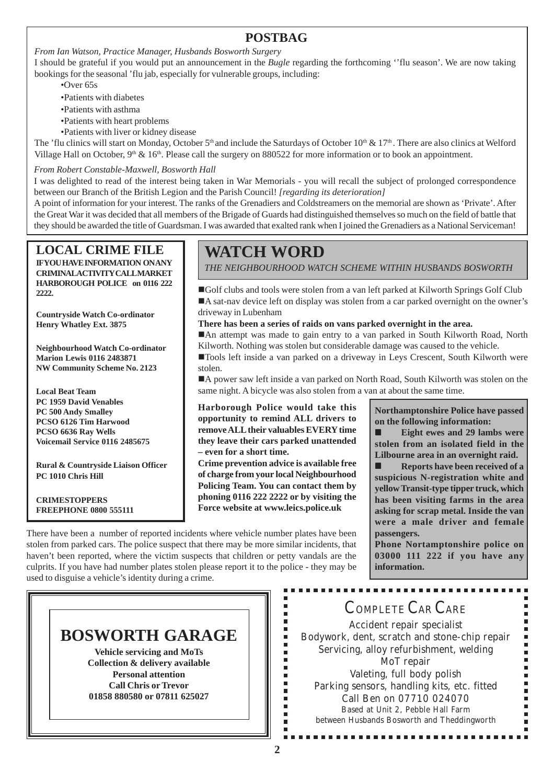#### **POSTBAG**

*From Ian Watson, Practice Manager, Husbands Bosworth Surgery*

I should be grateful if you would put an announcement in the *Bugle* regarding the forthcoming ''flu season'. We are now taking bookings for the seasonal 'flu jab, especially for vulnerable groups, including:

•Over 65s

- •Patients with diabetes
- •Patients with asthma
- •Patients with heart problems
- •Patients with liver or kidney disease

The 'flu clinics will start on Monday, October  $5<sup>th</sup>$  and include the Saturdays of October 10<sup>th</sup> & 17<sup>th</sup>. There are also clinics at Welford Village Hall on October,  $9<sup>th</sup>$  &  $16<sup>th</sup>$ . Please call the surgery on 880522 for more information or to book an appointment.

#### *From Robert Constable-Maxwell, Bosworth Hall*

I was delighted to read of the interest being taken in War Memorials - you will recall the subject of prolonged correspondence between our Branch of the British Legion and the Parish Council! *[regarding its deterioration]*

A point of information for your interest. The ranks of the Grenadiers and Coldstreamers on the memorial are shown as 'Private'. After the Great War it was decided that all members of the Brigade of Guards had distinguished themselves so much on the field of battle that they should be awarded the title of Guardsman. I was awarded that exalted rank when I joined the Grenadiers as a National Serviceman!

**LOCAL CRIME FILE IF YOU HAVE INFORMATION ON ANY CRIMINAL ACTIVITY CALL MARKET HARBOROUGH POLICE on 0116 222 2222.**

**Countryside Watch Co-ordinator Henry Whatley Ext. 3875**

**Neighbourhood Watch Co-ordinator Marion Lewis 0116 2483871 NW Community Scheme No. 2123**

**Local Beat Team PC 1959 David Venables PC 500 Andy Smalley PCSO 6126 Tim Harwood PCSO 6636 Ray Wells Voicemail Service 0116 2485675**

**Rural & Countryside Liaison Officer PC 1010 Chris Hill**

#### **CRIMESTOPPERS FREEPHONE 0800 555111**

### **WATCH WORD**

*THE NEIGHBOURHOOD WATCH SCHEME WITHIN HUSBANDS BOSWORTH*

!Golf clubs and tools were stolen from a van left parked at Kilworth Springs Golf Club !A sat-nav device left on display was stolen from a car parked overnight on the owner's driveway in Lubenham

#### **There has been a series of raids on vans parked overnight in the area.**

!An attempt was made to gain entry to a van parked in South Kilworth Road, North Kilworth. Nothing was stolen but considerable damage was caused to the vehicle.

!Tools left inside a van parked on a driveway in Leys Crescent, South Kilworth were stolen.

!A power saw left inside a van parked on North Road, South Kilworth was stolen on the same night. A bicycle was also stolen from a van at about the same time.

**Harborough Police would take this opportunity to remind ALL drivers to remove ALL their valuables EVERY time they leave their cars parked unattended – even for a short time.**

**Crime prevention advice is available free of charge from your local Neighbourhood Policing Team. You can contact them by phoning 0116 222 2222 or by visiting the Force website at www.leics.police.uk**

> Ė Ė I. É  $\blacksquare$  $\blacksquare$  $\overline{\phantom{a}}$ Î.  $\blacksquare$ в  $\blacksquare$ Î.  $\blacksquare$  $\blacksquare$ É

**Northamptonshire Police have passed on the following information:**

■ **Eight ewes and 29 lambs were stolen from an isolated field in the Lilbourne area in an overnight raid.**

**Reports have been received of a suspicious N-registration white and yellow Transit-type tipper truck, which has been visiting farms in the area asking for scrap metal. Inside the van were a male driver and female passengers.**

**Phone Nortamptonshire police on 03000 111 222 if you have any information.**

There have been a number of reported incidents where vehicle number plates have been stolen from parked cars. The police suspect that there may be more similar incidents, that haven't been reported, where the victim suspects that children or petty vandals are the culprits. If you have had number plates stolen please report it to the police - they may be used to disguise a vehicle's identity during a crime.

### **BOSWORTH GARAGE**

**Vehicle servicing and MoTs Collection & delivery available Personal attention Call Chris or Trevor 01858 880580 or 07811 625027**

### COMPLETE CAR CARE

Accident repair specialist Bodywork, dent, scratch and stone-chip repair Servicing, alloy refurbishment, welding MoT repair Valeting, full body polish Parking sensors, handling kits, etc. fitted Call Ben on 07710 024070 Based at Unit 2, Pebble Hall Farm between Husbands Bosworth and Theddingworth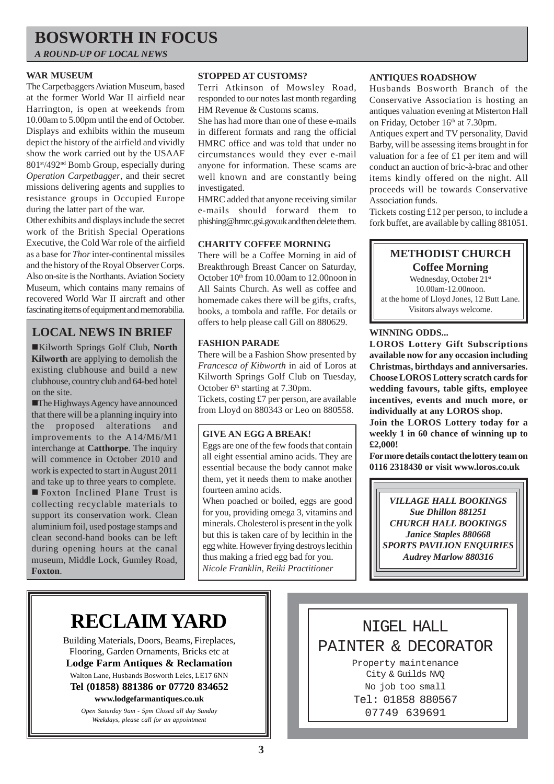### **BOSWORTH IN FOCUS**

*A ROUND-UP OF LOCAL NEWS*

#### **WAR MUSEUM**

The Carpetbaggers Aviation Museum, based at the former World War II airfield near Harrington, is open at weekends from 10.00am to 5.00pm until the end of October. Displays and exhibits within the museum depict the history of the airfield and vividly show the work carried out by the USAAF 801st/492nd Bomb Group, especially during *Operation Carpetbagger*, and their secret missions delivering agents and supplies to resistance groups in Occupied Europe during the latter part of the war.

Other exhibits and displays include the secret work of the British Special Operations Executive, the Cold War role of the airfield as a base for *Thor* inter-continental missiles and the history of the Royal Observer Corps. Also on-site is the Northants. Aviation Society Museum, which contains many remains of recovered World War II aircraft and other fascinating items of equipment and memorabilia.

### **LOCAL NEWS IN BRIEF**

!Kilworth Springs Golf Club, **North Kilworth** are applying to demolish the existing clubhouse and build a new clubhouse, country club and 64-bed hotel on the site.

!The Highways Agency have announced that there will be a planning inquiry into the proposed alterations and improvements to the A14/M6/M1 interchange at **Catthorpe**. The inquiry will commence in October 2010 and work is expected to start in August 2011 and take up to three years to complete. ! Foxton Inclined Plane Trust is collecting recyclable materials to support its conservation work. Clean aluminium foil, used postage stamps and clean second-hand books can be left during opening hours at the canal museum, Middle Lock, Gumley Road, **Foxton**.

#### **STOPPED AT CUSTOMS?**

Terri Atkinson of Mowsley Road, responded to our notes last month regarding HM Revenue & Customs scams.

She has had more than one of these e-mails in different formats and rang the official HMRC office and was told that under no circumstances would they ever e-mail anyone for information. These scams are well known and are constantly being investigated.

HMRC added that anyone receiving similar e-mails should forward them to phishing@hmrc.gsi.gov.uk and then delete them.

#### **CHARITY COFFEE MORNING**

There will be a Coffee Morning in aid of Breakthrough Breast Cancer on Saturday, October 10<sup>th</sup> from 10.00am to 12.00noon in All Saints Church. As well as coffee and homemade cakes there will be gifts, crafts, books, a tombola and raffle. For details or offers to help please call Gill on 880629.

#### **FASHION PARADE**

There will be a Fashion Show presented by *Francesca of Kibworth* in aid of Loros at Kilworth Springs Golf Club on Tuesday, October 6<sup>th</sup> starting at 7.30pm.

Tickets, costing £7 per person, are available from Lloyd on 880343 or Leo on 880558.

#### **GIVE AN EGG A BREAK!**

Eggs are one of the few foods that contain all eight essential amino acids. They are essential because the body cannot make them, yet it needs them to make another fourteen amino acids.

When poached or boiled, eggs are good for you, providing omega 3, vitamins and minerals. Cholesterol is present in the yolk but this is taken care of by lecithin in the egg white. However frying destroys lecithin thus making a fried egg bad for you. *Nicole Franklin, Reiki Practitioner*

#### **ANTIQUES ROADSHOW**

Husbands Bosworth Branch of the Conservative Association is hosting an antiques valuation evening at Misterton Hall on Friday, October 16<sup>th</sup> at 7.30pm.

Antiques expert and TV personality, David Barby, will be assessing items brought in for valuation for a fee of £1 per item and will conduct an auction of bric-à-brac and other items kindly offered on the night. All proceeds will be towards Conservative Association funds.

Tickets costing £12 per person, to include a fork buffet, are available by calling 881051.

#### **METHODIST CHURCH Coffee Morning**

Wednesday, October 21st 10.00am-12.00noon. at the home of Lloyd Jones, 12 Butt Lane. Visitors always welcome.

#### **WINNING ODDS...**

**LOROS Lottery Gift Subscriptions available now for any occasion including Christmas, birthdays and anniversaries. Choose LOROS Lottery scratch cards for wedding favours, table gifts, employee incentives, events and much more, or individually at any LOROS shop.**

**Join the LOROS Lottery today for a weekly 1 in 60 chance of winning up to £2,000!**

**For more details contact the lottery team on 0116 2318430 or visit www.loros.co.uk**

*VILLAGE HALL BOOKINGS Sue Dhillon 881251 CHURCH HALL BOOKINGS Janice Staples 880668 SPORTS PAVILION ENQUIRIES Audrey Marlow 880316*

# **RECLAIM YARD**

Building Materials, Doors, Beams, Fireplaces, Flooring, Garden Ornaments, Bricks etc at **Lodge Farm Antiques & Reclamation** Walton Lane, Husbands Bosworth Leics, LE17 6NN **Tel (01858) 881386 or 07720 834652 www.lodgefarmantiques.co.uk**

> *Open Saturday 9am - 5pm Closed all day Sunday Weekdays, please call for an appointment*

NIGEL HALL PAINTER & DECORATOR Property maintenance City & Guilds NVQ No job too small Tel: 01858 880567 07749 639691

**3**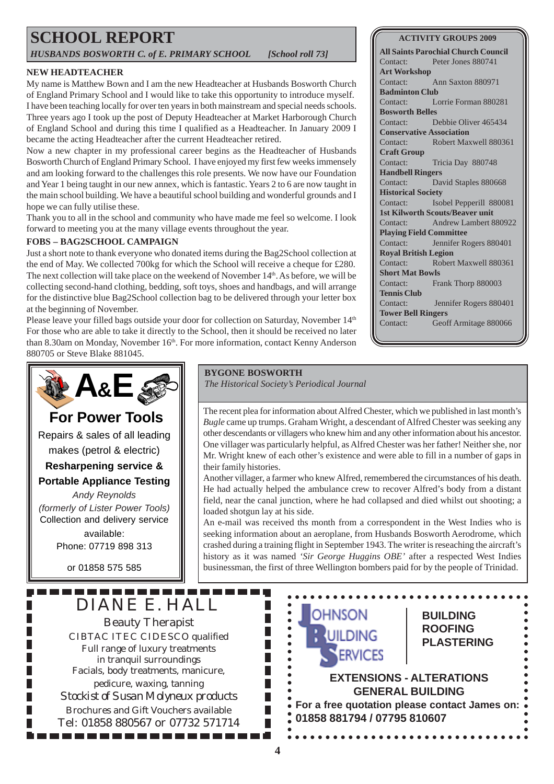# **SCHOOL REPORT**

*HUSBANDS BOSWORTH C. of E. PRIMARY SCHOOL [School roll 73]*

#### **NEW HEADTEACHER**

My name is Matthew Bown and I am the new Headteacher at Husbands Bosworth Church of England Primary School and I would like to take this opportunity to introduce myself. I have been teaching locally for over ten years in both mainstream and special needs schools. Three years ago I took up the post of Deputy Headteacher at Market Harborough Church of England School and during this time I qualified as a Headteacher. In January 2009 I became the acting Headteacher after the current Headteacher retired.

Now a new chapter in my professional career begins as the Headteacher of Husbands Bosworth Church of England Primary School. I have enjoyed my first few weeks immensely and am looking forward to the challenges this role presents. We now have our Foundation and Year 1 being taught in our new annex, which is fantastic. Years 2 to 6 are now taught in the main school building. We have a beautiful school building and wonderful grounds and I hope we can fully utilise these.

Thank you to all in the school and community who have made me feel so welcome. I look forward to meeting you at the many village events throughout the year.

#### **FOBS – BAG2SCHOOL CAMPAIGN**

Just a short note to thank everyone who donated items during the Bag2School collection at the end of May. We collected 700kg for which the School will receive a cheque for £280. The next collection will take place on the weekend of November  $14<sup>th</sup>$ . As before, we will be collecting second-hand clothing, bedding, soft toys, shoes and handbags, and will arrange for the distinctive blue Bag2School collection bag to be delivered through your letter box at the beginning of November.

Please leave your filled bags outside your door for collection on Saturday, November 14<sup>th</sup> For those who are able to take it directly to the School, then it should be received no later than 8.30am on Monday, November 16<sup>th</sup>. For more information, contact Kenny Anderson 880705 or Steve Blake 881045.

**ACTIVITY GROUPS 2009**

**All Saints Parochial Church Council** Contact: Peter Jones 880741 **Art Workshop** Contact: Ann Saxton 880971 **Badminton Club** Contact: Lorrie Forman 880281 **Bosworth Belles** Contact: Debbie Oliver 465434 **Conservative Association** Contact: Robert Maxwell 880361 **Craft Group** Contact: Tricia Day 880748 **Handbell Ringers** Contact: David Staples 880668 **Historical Society** Contact: Isobel Pepperill 880081 **1st Kilworth Scouts/Beaver unit** Contact: Andrew Lambert 880922 **Playing Field Committee** Contact: Jennifer Rogers 880401 **Royal British Legion** Contact: Robert Maxwell 880361 **Short Mat Bowls** Contact: Frank Thorp 880003 **Tennis Club** Contact: Jennifer Rogers 880401 **Tower Bell Ringers** Contact: Geoff Armitage 880066

### DIANE E. HALL Beauty Therapist CIBTAC ITEC CIDESCO qualified Full range of luxury treatments in tranquil surroundings Facials, body treatments, manicure, pedicure, waxing, tanning *Stockist of Susan Molyneux products* Brochures and Gift Vouchers available **秘 A&E For Power Tools** Repairs & sales of all leading makes (petrol & electric) **Resharpening service & Portable Appliance Testing** *Andy Reynolds (formerly of Lister Power Tools)* Collection and delivery service available: Phone: 07719 898 313 or 01858 575 585

Tel: 01858 880567 or 07732 571714

-----------

#### **BYGONE BOSWORTH**

*The Historical Society's Periodical Journal*

The recent plea for information about Alfred Chester, which we published in last month's *Bugle* came up trumps. Graham Wright, a descendant of Alfred Chester was seeking any other descendants or villagers who knew him and any other information about his ancestor. One villager was particularly helpful, as Alfred Chester was her father! Neither she, nor Mr. Wright knew of each other's existence and were able to fill in a number of gaps in their family histories.

Another villager, a farmer who knew Alfred, remembered the circumstances of his death. He had actually helped the ambulance crew to recover Alfred's body from a distant field, near the canal junction, where he had collapsed and died whilst out shooting; a loaded shotgun lay at his side.

An e-mail was received ths month from a correspondent in the West Indies who is seeking information about an aeroplane, from Husbands Bosworth Aerodrome, which crashed during a training flight in September 1943. The writer is reseaching the aircraft's history as it was named *'Sir George Huggins OBE'* after a respected West Indies businessman, the first of three Wellington bombers paid for by the people of Trinidad.

#### **BUILDING ROOFING PLASTERING**

#### **EXTENSIONS - ALTERATIONS GENERAL BUILDING**

**For a free quotation please contact James on: 01858 881794 / 07795 810607**

П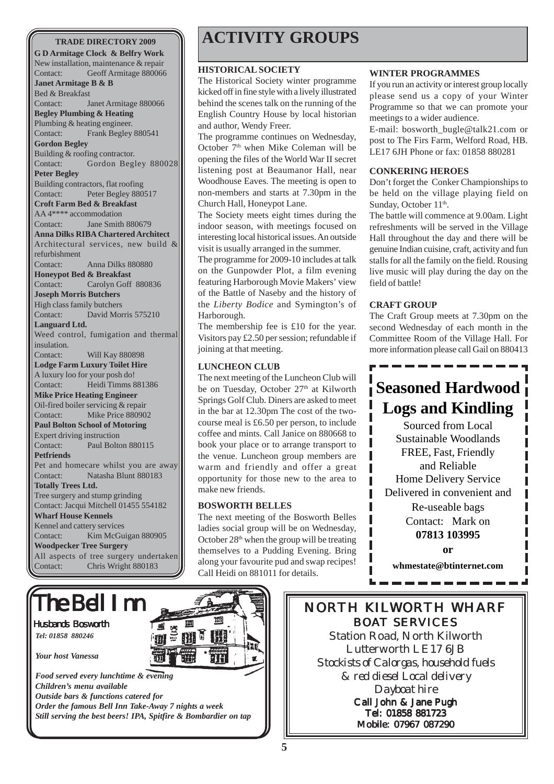**G D Armitage Clock & Belfry Work** New installation, maintenance & repair Contact: Geoff Armitage 880066 **Janet Armitage B & B** Bed & Breakfast Contact: Janet Armitage 880066 **Begley Plumbing & Heating** Plumbing & heating engineer. Contact: Frank Begley 880541 **Gordon Begley** Building & roofing contractor. Contact: Gordon Begley 880028 **Peter Begley** Building contractors, flat roofing Contact: Peter Begley 880517 **Croft Farm Bed & Breakfast** AA 4\*\*\*\* accommodation Contact: Jane Smith 880679 **Anna Dilks RIBA Chartered Architect** Architectural services, new build & refurbishment Contact: Anna Dilks 880880 **Honeypot Bed & Breakfast** Contact: Carolyn Goff 880836 **Joseph Morris Butchers** High class family butchers Contact: David Morris 575210 **Languard Ltd.** Weed control, fumigation and thermal insulation. Contact: Will Kay 880898 **Lodge Farm Luxury Toilet Hire** A luxury loo for your posh do! Contact: Heidi Timms 881386 **Mike Price Heating Engineer** Oil-fired boiler servicing & repair Contact: Mike Price 880902 **Paul Bolton School of Motoring** Expert driving instruction Contact: Paul Bolton 880115 **Petfriends** Pet and homecare whilst you are away Contact: Natasha Blunt 880183 **Totally Trees Ltd.** Tree surgery and stump grinding Contact: Jacqui Mitchell 01455 554182 **Wharf House Kennels** Kennel and cattery services Contact: Kim McGuigan 880905 **Woodpecker Tree Surgery** All aspects of tree surgery undertaken Contact: Chris Wright 880183

## **TRADE DIRECTORY 2009 ACTIVITY GROUPS**

#### **HISTORICAL SOCIETY**

The Historical Society winter programme kicked off in fine style with a lively illustrated behind the scenes talk on the running of the English Country House by local historian and author, Wendy Freer.

The programme continues on Wednesday, October 7<sup>th</sup> when Mike Coleman will be opening the files of the World War II secret listening post at Beaumanor Hall, near Woodhouse Eaves. The meeting is open to non-members and starts at 7.30pm in the Church Hall, Honeypot Lane.

The Society meets eight times during the indoor season, with meetings focused on interesting local historical issues. An outside visit is usually arranged in the summer.

The programme for 2009-10 includes at talk on the Gunpowder Plot, a film evening featuring Harborough Movie Makers' view of the Battle of Naseby and the history of the *Liberty Bodice* and Symington's of Harborough.

The membership fee is £10 for the year. Visitors pay £2.50 per session; refundable if joining at that meeting.

#### **LUNCHEON CLUB**

The next meeting of the Luncheon Club will be on Tuesday, October 27<sup>th</sup> at Kilworth Springs Golf Club. Diners are asked to meet in the bar at 12.30pm The cost of the twocourse meal is £6.50 per person, to include coffee and mints. Call Janice on 880668 to book your place or to arrange transport to the venue. Luncheon group members are warm and friendly and offer a great opportunity for those new to the area to make new friends.

#### **BOSWORTH BELLES**

The next meeting of the Bosworth Belles ladies social group will be on Wednesday, October  $28<sup>th</sup>$  when the group will be treating themselves to a Pudding Evening. Bring along your favourite pud and swap recipes! Call Heidi on 881011 for details.

#### **WINTER PROGRAMMES**

If you run an activity or interest group locally please send us a copy of your Winter Programme so that we can promote your meetings to a wider audience.

E-mail: bosworth\_bugle@talk21.com or post to The Firs Farm, Welford Road, HB. LE17 6JH Phone or fax: 01858 880281

#### **CONKERING HEROES**

Don't forget the Conker Championships to be held on the village playing field on Sunday, October 11<sup>th</sup>.

The battle will commence at 9.00am. Light refreshments will be served in the Village Hall throughout the day and there will be genuine Indian cuisine, craft, activity and fun stalls for all the family on the field. Rousing live music will play during the day on the field of battle!

#### **CRAFT GROUP**

The Craft Group meets at 7.30pm on the second Wednesday of each month in the Committee Room of the Village Hall. For more information please call Gail on 880413

### **Seasoned Hardwood Logs and Kindling**

Sourced from Local Sustainable Woodlands FREE, Fast, Friendly and Reliable Home Delivery Service Delivered in convenient and Re-useable bags

> Contact: Mark on **07813 103995**

#### **or**

**whmestate@btinternet.com**



NORTH KILWORTH WHARF BOAT SERVICES

ı Ī

I ı

L

Station Road, North Kilworth Lutterworth LE17 6JB *Stockists of Calorgas, household fuels & red diesel Local delivery Dayboat hire* Call John & Jane Pugh Tel: 01858 881723 Mobile: 07967 087290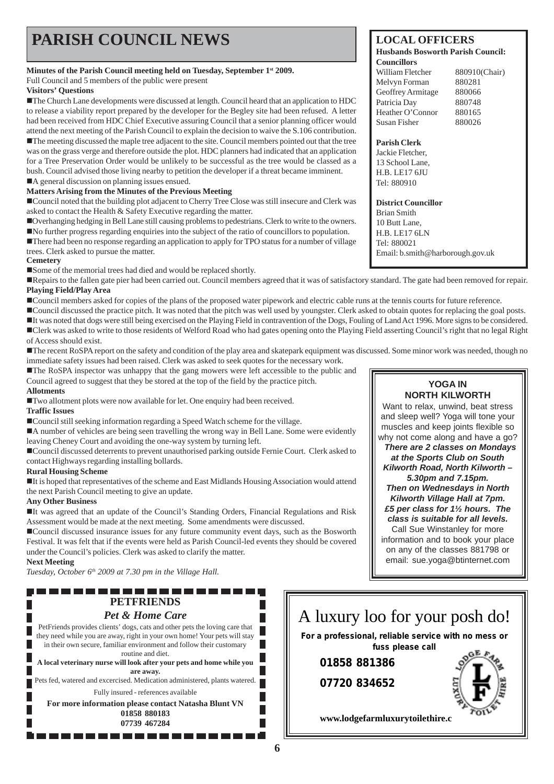## **PARISH COUNCIL NEWS** LOCAL OFFICERS

#### **Minutes of the Parish Council meeting held on Tuesday, September 1st 2009.**

Full Council and 5 members of the public were present

#### **Visitors' Questions**

!The Church Lane developments were discussed at length. Council heard that an application to HDC to release a viability report prepared by the developer for the Begley site had been refused. A letter had been received from HDC Chief Executive assuring Council that a senior planning officer would attend the next meeting of the Parish Council to explain the decision to waive the S.106 contribution.

!The meeting discussed the maple tree adjacent to the site. Council members pointed out that the tree was on the grass verge and therefore outside the plot. HDC planners had indicated that an application for a Tree Preservation Order would be unlikely to be successful as the tree would be classed as a bush. Council advised those living nearby to petition the developer if a threat became imminent. ■A general discussion on planning issues ensued.

#### **Matters Arising from the Minutes of the Previous Meeting**

!Council noted that the building plot adjacent to Cherry Tree Close was still insecure and Clerk was asked to contact the Health & Safety Executive regarding the matter.

!Overhanging hedging in Bell Lane still causing problems to pedestrians. Clerk to write to the owners. !No further progress regarding enquiries into the subject of the ratio of councillors to population.

!There had been no response regarding an application to apply for TPO status for a number of village trees. Clerk asked to pursue the matter.

#### **Cemetery**

!Some of the memorial trees had died and would be replaced shortly.

!Repairs to the fallen gate pier had been carried out. Council members agreed that it was of satisfactory standard. The gate had been removed for repair. **Playing Field/Play Area**

!Council members asked for copies of the plans of the proposed water pipework and electric cable runs at the tennis courts for future reference.

!Council discussed the practice pitch. It was noted that the pitch was well used by youngster. Clerk asked to obtain quotes for replacing the goal posts.

!It was noted that dogs were still being exercised on the Playing Field in contravention of the Dogs, Fouling of Land Act 1996. More signs to be considered.

!Clerk was asked to write to those residents of Welford Road who had gates opening onto the Playing Field asserting Council's right that no legal Right of Access should exist.

The recent RoSPA report on the safety and condition of the play area and skatepark equipment was discussed. Some minor work was needed, though no immediate safety issues had been raised. Clerk was asked to seek quotes for the necessary work.

!The RoSPA inspector was unhappy that the gang mowers were left accessible to the public and Council agreed to suggest that they be stored at the top of the field by the practice pitch. **Allotments**

!Two allotment plots were now available for let. One enquiry had been received.

#### **Traffic Issues**

!Council still seeking information regarding a Speed Watch scheme for the village.

!A number of vehicles are being seen travelling the wrong way in Bell Lane. Some were evidently leaving Cheney Court and avoiding the one-way system by turning left.

!Council discussed deterrents to prevent unauthorised parking outside Fernie Court. Clerk asked to contact Highways regarding installing bollards.

#### **Rural Housing Scheme**

!It is hoped that representatives of the scheme and East Midlands Housing Association would attend the next Parish Council meeting to give an update.

#### **Any Other Business**

!It was agreed that an update of the Council's Standing Orders, Financial Regulations and Risk Assessment would be made at the next meeting. Some amendments were discussed.

!Council discussed insurance issues for any future community event days, such as the Bosworth Festival. It was felt that if the events were held as Parish Council-led events they should be covered under the Council's policies. Clerk was asked to clarify the matter.

#### **Next Meeting**

*Tuesday, October 6th 2009 at 7.30 pm in the Village Hall.*

#### **PETFRIENDS** *Pet & Home Care* PetFriends provides clients' dogs, cats and other pets the loving care that they need while you are away, right in your own home! Your pets will stay in their own secure, familiar environment and follow their customary routine and diet. **A local veterinary nurse will look after your pets and home while you are away.** Pets fed, watered and excercised. Medication administered, plants watered. Fully insured - references available **For more information please contact Natasha Blunt VN 01858 880183 07739 467284** . . . . . . . . . . . . . . . . .

#### **Councillors** 880910(Chair)

**Husbands Bosworth Parish Council:**

| 000/10C |
|---------|
| 880281  |
| 880066  |
| 880748  |
| 880165  |
| 880026  |
|         |

#### **Parish Clerk**

Jackie Fletcher, 13 School Lane, H.B. LE17 6JU Tel: 880910

**District Councillor**

Brian Smith 10 Butt Lane, H.B. LE17 6LN Tel: 880021 Email: b.smith@harborough.gov.uk

> **YOGA IN NORTH KILWORTH**

Want to relax, unwind, beat stress and sleep well? Yoga will tone your muscles and keep joints flexible so why not come along and have a go? *There are 2 classes on Mondays at the Sports Club on South Kilworth Road, North Kilworth – 5.30pm and 7.15pm. Then on Wednesdays in North Kilworth Village Hall at 7pm. £5 per class for 1½ hours. The class is suitable for all levels.* Call Sue Winstanley for more information and to book your place on any of the classes 881798 or email: sue.yoga@btinternet.com

### A luxury loo for your posh do! **For a professional, reliable service with no mess or fuss please call 01858 881386**

**07720 834652**



www.lodgefarmluxurytoilethire.c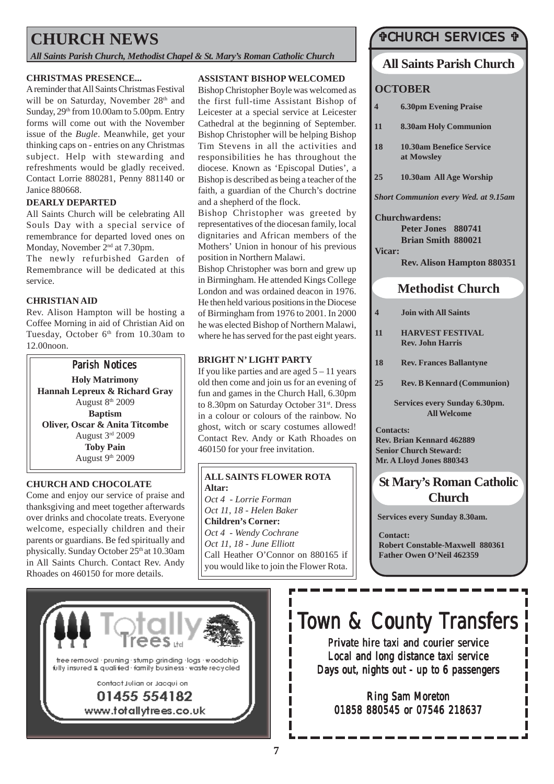### **CHURCH NEWS**

*All Saints Parish Church, Methodist Chapel & St. Mary's Roman Catholic Church*

#### **CHRISTMAS PRESENCE...**

A reminder that All Saints Christmas Festival will be on Saturday, November 28<sup>th</sup> and Sunday,  $29<sup>th</sup>$  from 10.00am to 5.00pm. Entry forms will come out with the November issue of the *Bugle*. Meanwhile, get your thinking caps on - entries on any Christmas subject. Help with stewarding and refreshments would be gladly received. Contact Lorrie 880281, Penny 881140 or Janice 880668.

#### **DEARLY DEPARTED**

All Saints Church will be celebrating All Souls Day with a special service of remembrance for departed loved ones on Monday, November 2<sup>nd</sup> at 7.30pm.

The newly refurbished Garden of Remembrance will be dedicated at this service.

#### **CHRISTIAN AID**

Rev. Alison Hampton will be hosting a Coffee Morning in aid of Christian Aid on Tuesday, October 6<sup>th</sup> from 10.30am to 12.00noon.



#### **CHURCH AND CHOCOLATE**

Come and enjoy our service of praise and thanksgiving and meet together afterwards over drinks and chocolate treats. Everyone welcome, especially children and their parents or guardians. Be fed spiritually and physically. Sunday October 25th at 10.30am in All Saints Church. Contact Rev. Andy Rhoades on 460150 for more details.

#### **ASSISTANT BISHOP WELCOMED**

Bishop Christopher Boyle was welcomed as the first full-time Assistant Bishop of Leicester at a special service at Leicester Cathedral at the beginning of September. Bishop Christopher will be helping Bishop Tim Stevens in all the activities and responsibilities he has throughout the diocese. Known as 'Episcopal Duties', a Bishop is described as being a teacher of the faith, a guardian of the Church's doctrine and a shepherd of the flock.

Bishop Christopher was greeted by representatives of the diocesan family, local dignitaries and African members of the Mothers' Union in honour of his previous position in Northern Malawi.

Bishop Christopher was born and grew up in Birmingham. He attended Kings College London and was ordained deacon in 1976. He then held various positions in the Diocese of Birmingham from 1976 to 2001. In 2000 he was elected Bishop of Northern Malawi, where he has served for the past eight years.

#### **BRIGHT N' LIGHT PARTY**

If you like parties and are aged  $5 - 11$  years old then come and join us for an evening of fun and games in the Church Hall, 6.30pm to 8.30pm on Saturday October 31<sup>st</sup>. Dress in a colour or colours of the rainbow. No ghost, witch or scary costumes allowed! Contact Rev. Andy or Kath Rhoades on 460150 for your free invitation.

#### **ALL SAINTS FLOWER ROTA Altar:**

*Oct 4 - Lorrie Forman Oct 11, 18 - Helen Baker* **Children's Corner:** *Oct 4 - Wendy Cochrane Oct 11, 18 - June Elliott* Call Heather O'Connor on 880165 if you would like to join the Flower Rota.

### *<u>OCHURCH SERVICES</u>*

#### **All Saints Parish Church**

#### **OCTOBER**

- **4 6.30pm Evening Praise**
- **11 8.30am Holy Communion**
- **18 10.30am Benefice Service at Mowsley**
- **25 10.30am All Age Worship**

*Short Communion every Wed. at 9.15am*

#### **Churchwardens:**

**Peter Jones 880741 Brian Smith 880021 Vicar:**

**Rev. Alison Hampton 880351**

### **Methodist Church**

- **4 Join with All Saints**
- **11 HARVEST FESTIVAL Rev. John Harris**
- **18 Rev. Frances Ballantyne**
- **25 Rev. B Kennard (Communion)**

**Services every Sunday 6.30pm. All Welcome**

**Contacts: Rev. Brian Kennard 462889 Senior Church Steward: Mr. A Lloyd Jones 880343**

### **St Mary's Roman Catholic Church**

**Services every Sunday 8.30am.**

**Contact: Robert Constable-Maxwell 880361 Father Owen O'Neil 462359**



# Town & County Transfers

Private hire taxi and courier service Local and long distance taxi service Days out, nights out - up to 6 passengers

Ring Sam Moreton 01858 880545 or 07546 218637